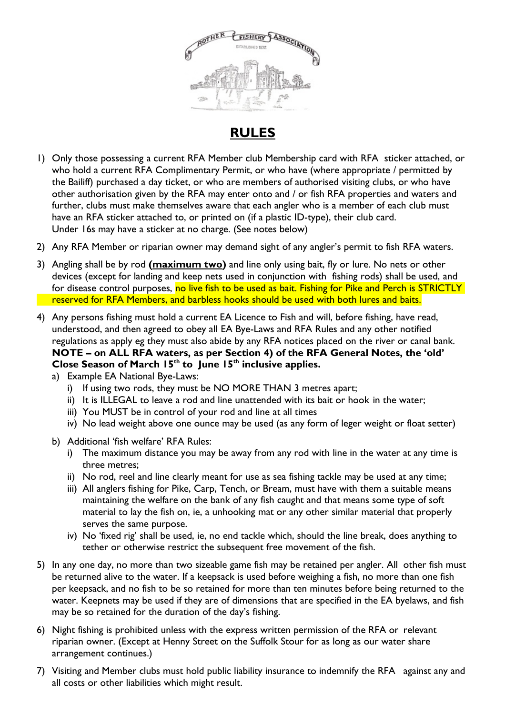

## **RULES**

- 1) Only those possessing a current RFA Member club Membership card with RFA sticker attached, or who hold a current RFA Complimentary Permit, or who have (where appropriate / permitted by the Bailiff) purchased a day ticket, or who are members of authorised visiting clubs, or who have other authorisation given by the RFA may enter onto and / or fish RFA properties and waters and further, clubs must make themselves aware that each angler who is a member of each club must have an RFA sticker attached to, or printed on (if a plastic ID-type), their club card. Under 16s may have a sticker at no charge. (See notes below)
- 2) Any RFA Member or riparian owner may demand sight of any angler's permit to fish RFA waters.
- 3) Angling shall be by rod **(maximum two)** and line only using bait, fly or lure. No nets or other devices (except for landing and keep nets used in conjunction with fishing rods) shall be used, and for disease control purposes, no live fish to be used as bait. Fishing for Pike and Perch is STRICTLY reserved for RFA Members, and barbless hooks should be used with both lures and baits.
- 4) Any persons fishing must hold a current EA Licence to Fish and will, before fishing, have read, understood, and then agreed to obey all EA Bye-Laws and RFA Rules and any other notified regulations as apply eg they must also abide by any RFA notices placed on the river or canal bank. **NOTE – on ALL RFA waters, as per Section 4) of the RFA General Notes, the 'old' Close Season of March 15th to June 15th inclusive applies.**
	- a) Example EA National Bye-Laws:
		- i) If using two rods, they must be NO MORE THAN 3 metres apart;
		- ii) It is ILLEGAL to leave a rod and line unattended with its bait or hook in the water;
		- iii) You MUST be in control of your rod and line at all times
		- iv) No lead weight above one ounce may be used (as any form of leger weight or float setter)
	- b) Additional 'fish welfare' RFA Rules:
		- i) The maximum distance you may be away from any rod with line in the water at any time is three metres;
		- ii) No rod, reel and line clearly meant for use as sea fishing tackle may be used at any time;
		- iii) All anglers fishing for Pike, Carp, Tench, or Bream, must have with them a suitable means maintaining the welfare on the bank of any fish caught and that means some type of soft material to lay the fish on, ie, a unhooking mat or any other similar material that properly serves the same purpose.
		- iv) No 'fixed rig' shall be used, ie, no end tackle which, should the line break, does anything to tether or otherwise restrict the subsequent free movement of the fish.
- 5) In any one day, no more than two sizeable game fish may be retained per angler. All other fish must be returned alive to the water. If a keepsack is used before weighing a fish, no more than one fish per keepsack, and no fish to be so retained for more than ten minutes before being returned to the water. Keepnets may be used if they are of dimensions that are specified in the EA byelaws, and fish may be so retained for the duration of the day's fishing.
- 6) Night fishing is prohibited unless with the express written permission of the RFA or relevant riparian owner. (Except at Henny Street on the Suffolk Stour for as long as our water share arrangement continues.)
- 7) Visiting and Member clubs must hold public liability insurance to indemnify the RFA against any and all costs or other liabilities which might result.